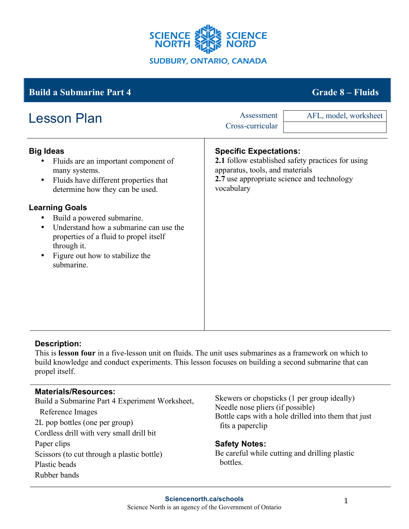

# **Big Ideas** • Fluids are an important component of many systems. • Fluids have different properties that determine how they can be used. **Learning Goals** • Build a powered submarine. • Understand how a submarine can use the properties of a fluid to propel itself through it. • Figure out how to stabilize the submarine. **Specific Expectations: 2.1** follow established safety practices for using apparatus, tools, and materials **2.7** use appropriate science and technology vocabulary **Build a Submarine Part 4 Grade 8 – Fluids** Lesson Plan Assessment Cross-curricular AFL, model, worksheet

## **Description:**

This is **lesson four** in a five-lesson unit on fluids. The unit uses submarines as a framework on which to build knowledge and conduct experiments. This lesson focuses on building a second submarine that can propel itself.

## **Materials/Resources:**

Build a Submarine Part 4 Experiment Worksheet, Reference Images 2L pop bottles (one per group) Cordless drill with very small drill bit Paper clips Scissors (to cut through a plastic bottle) Plastic beads Rubber bands

Skewers or chopsticks (1 per group ideally) Needle nose pliers (if possible) Bottle caps with a hole drilled into them that just fits a paperclip

## **Safety Notes:**

Be careful while cutting and drilling plastic bottles.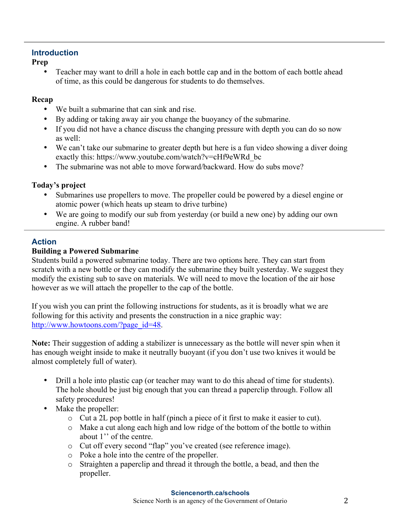## **Introduction**

**Prep**

• Teacher may want to drill a hole in each bottle cap and in the bottom of each bottle ahead of time, as this could be dangerous for students to do themselves.

## **Recap**

- We built a submarine that can sink and rise.
- By adding or taking away air you change the buoyancy of the submarine.
- If you did not have a chance discuss the changing pressure with depth you can do so now as well:
- We can't take our submarine to greater depth but here is a fun video showing a diver doing exactly this: https://www.youtube.com/watch?v=cHf9eWRd\_bc
- The submarine was not able to move forward/backward. How do subs move?

## **Today's project**

- Submarines use propellers to move. The propeller could be powered by a diesel engine or atomic power (which heats up steam to drive turbine)
- We are going to modify our sub from yesterday (or build a new one) by adding our own engine. A rubber band!

## **Action**

## **Building a Powered Submarine**

Students build a powered submarine today. There are two options here. They can start from scratch with a new bottle or they can modify the submarine they built yesterday. We suggest they modify the existing sub to save on materials. We will need to move the location of the air hose however as we will attach the propeller to the cap of the bottle.

If you wish you can print the following instructions for students, as it is broadly what we are following for this activity and presents the construction in a nice graphic way: http://www.howtoons.com/?page\_id=48.

**Note:** Their suggestion of adding a stabilizer is unnecessary as the bottle will never spin when it has enough weight inside to make it neutrally buoyant (if you don't use two knives it would be almost completely full of water).

- Drill a hole into plastic cap (or teacher may want to do this ahead of time for students). The hole should be just big enough that you can thread a paperclip through. Follow all safety procedures!
- Make the propeller:
	- o Cut a 2L pop bottle in half (pinch a piece of it first to make it easier to cut).
	- o Make a cut along each high and low ridge of the bottom of the bottle to within about 1'' of the centre.
	- o Cut off every second "flap" you've created (see reference image).
	- o Poke a hole into the centre of the propeller.
	- o Straighten a paperclip and thread it through the bottle, a bead, and then the propeller.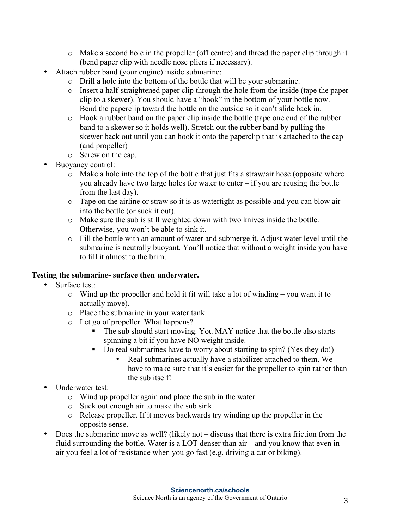- o Make a second hole in the propeller (off centre) and thread the paper clip through it (bend paper clip with needle nose pliers if necessary).
- Attach rubber band (your engine) inside submarine:
	- o Drill a hole into the bottom of the bottle that will be your submarine.
	- o Insert a half-straightened paper clip through the hole from the inside (tape the paper clip to a skewer). You should have a "hook" in the bottom of your bottle now. Bend the paperclip toward the bottle on the outside so it can't slide back in.
	- o Hook a rubber band on the paper clip inside the bottle (tape one end of the rubber band to a skewer so it holds well). Stretch out the rubber band by pulling the skewer back out until you can hook it onto the paperclip that is attached to the cap (and propeller)
	- o Screw on the cap.
- Buoyancy control:
	- $\circ$  Make a hole into the top of the bottle that just fits a straw/air hose (opposite where you already have two large holes for water to enter – if you are reusing the bottle from the last day).
	- o Tape on the airline or straw so it is as watertight as possible and you can blow air into the bottle (or suck it out).
	- o Make sure the sub is still weighted down with two knives inside the bottle. Otherwise, you won't be able to sink it.
	- o Fill the bottle with an amount of water and submerge it. Adjust water level until the submarine is neutrally buoyant. You'll notice that without a weight inside you have to fill it almost to the brim.

## **Testing the submarine- surface then underwater.**

- Surface test:
	- o Wind up the propeller and hold it (it will take a lot of winding you want it to actually move).
	- o Place the submarine in your water tank.
	- o Let go of propeller. What happens?
		- The sub should start moving. You MAY notice that the bottle also starts spinning a bit if you have NO weight inside.
		- § Do real submarines have to worry about starting to spin? (Yes they do!)
			- Real submarines actually have a stabilizer attached to them. We have to make sure that it's easier for the propeller to spin rather than the sub itself!
- Underwater test:
	- o Wind up propeller again and place the sub in the water
	- o Suck out enough air to make the sub sink.
	- o Release propeller. If it moves backwards try winding up the propeller in the opposite sense.
- Does the submarine move as well? (likely not discuss that there is extra friction from the fluid surrounding the bottle. Water is a LOT denser than air – and you know that even in air you feel a lot of resistance when you go fast (e.g. driving a car or biking).